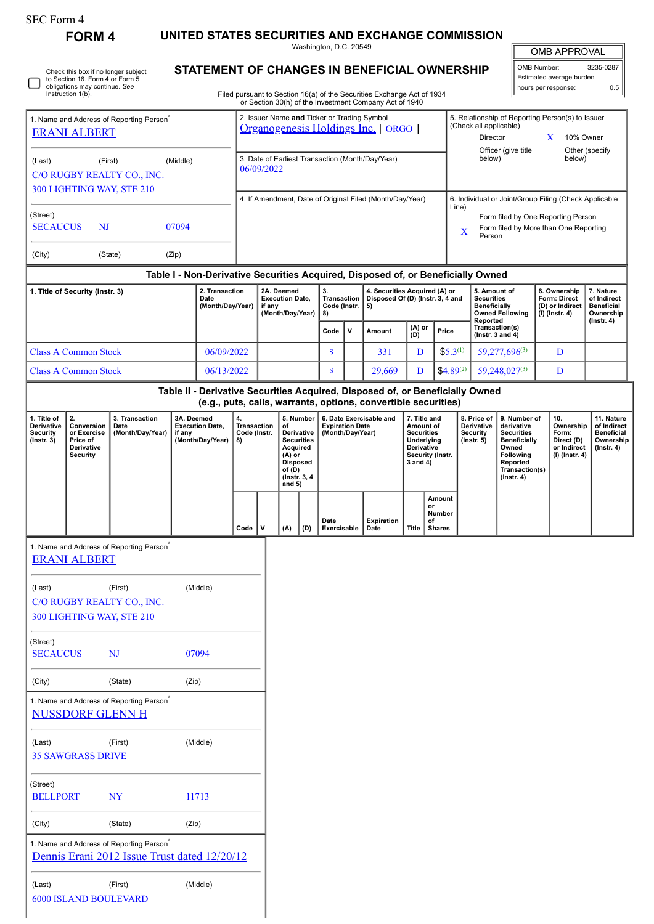# SEC Form 4

ſ

I

Check this box if no longer subject to Section 16. Form 4 or Form 5 obligations may continue. *See* Instruction 1(b).

**FORM 4 UNITED STATES SECURITIES AND EXCHANGE COMMISSION**

Washington, D.C. 20549

OMB APPROVAL

| <b>STATEMENT OF CHANGES IN BENEFICIAL OWNERSHIP</b> | OMB Number:<br>Estimated average burden                                                                                          | 3235-0287                                                                              |                     |              |     |
|-----------------------------------------------------|----------------------------------------------------------------------------------------------------------------------------------|----------------------------------------------------------------------------------------|---------------------|--------------|-----|
|                                                     | Filed pursuant to Section 16(a) of the Securities Exchange Act of 1934<br>or Section 30(h) of the Investment Company Act of 1940 |                                                                                        | hours per response: |              | 0.5 |
|                                                     | 2. Issuer Name and Ticker or Trading Symbol<br>Organogenesis Holdings Inc. [ ORGO ]                                              | 5. Relationship of Reporting Person(s) to Issuer<br>(Check all applicable)<br>Director |                     | $10\%$ Owner |     |

 $\mathbb{I}$ 

| 1. Name and Address of Reporting Person <sup>®</sup><br><b>ERANI ALBERT</b> |                                                                    |          | 2. Issuer Name and Ticker or Trading Symbol<br>Organogenesis Holdings Inc. [ ORGO ] | 5. Relationship of Reporting Person(s) to Issuer<br>(Check all applicable)<br>10% Owner<br>Director |                                                                                       |  |                           |  |
|-----------------------------------------------------------------------------|--------------------------------------------------------------------|----------|-------------------------------------------------------------------------------------|-----------------------------------------------------------------------------------------------------|---------------------------------------------------------------------------------------|--|---------------------------|--|
| (Last)                                                                      | (First)<br>C/O RUGBY REALTY CO., INC.<br>300 LIGHTING WAY, STE 210 | (Middle) | 3. Date of Earliest Transaction (Month/Day/Year)<br>06/09/2022                      |                                                                                                     | Officer (give title)<br>below)                                                        |  | Other (specify)<br>below) |  |
| (Street)                                                                    |                                                                    |          | 4. If Amendment, Date of Original Filed (Month/Day/Year)                            | Line)                                                                                               | 6. Individual or Joint/Group Filing (Check Applicable                                 |  |                           |  |
| <b>SECAUCUS</b>                                                             | NJ                                                                 | 07094    |                                                                                     | X                                                                                                   | Form filed by One Reporting Person<br>Form filed by More than One Reporting<br>Person |  |                           |  |
| (City)                                                                      | (State)                                                            | (Zip)    |                                                                                     |                                                                                                     |                                                                                       |  |                           |  |

## **Table I - Non-Derivative Securities Acquired, Disposed of, or Beneficially Owned**

| 1. Title of Security (Instr. 3) | 2. Transaction<br>Date<br>(Month/Day/Year) | 2A. Deemed<br><b>Execution Date.</b><br>if anv<br>(Month/Dav/Year) | Transaction  <br>Code (Instr. $\vert$ 5)<br>8) |              | 4. Securities Acquired (A) or<br>Disposed Of (D) (Instr. 3, 4 and |               |                | . 5. Amount of<br><b>Securities</b><br><b>Beneficially</b><br><b>Owned Following</b><br>Reported | 6. Ownership<br><b>Form: Direct</b><br>(D) or Indirect<br>(I) (Instr. 4) | 7. Nature<br>of Indirect<br><b>Beneficial</b><br>Ownership |
|---------------------------------|--------------------------------------------|--------------------------------------------------------------------|------------------------------------------------|--------------|-------------------------------------------------------------------|---------------|----------------|--------------------------------------------------------------------------------------------------|--------------------------------------------------------------------------|------------------------------------------------------------|
|                                 |                                            |                                                                    | Code                                           | $\mathbf{v}$ | Amount                                                            | (A) or<br>(D) | Price          | Transaction(s)<br>( $Instr. 3 and 4$ )                                                           |                                                                          | $($ lnstr. 4 $)$                                           |
| <b>Class A Common Stock</b>     | 06/09/2022                                 |                                                                    |                                                |              | 331                                                               |               | $$5.3^{(1)}$$  | $59.277.696^{(3)}$                                                                               | D                                                                        |                                                            |
| <b>Class A Common Stock</b>     | 06/13/2022                                 |                                                                    |                                                |              | 29.669                                                            |               | $$4.89^{(2)}$$ | $59.248.027^{(3)}$                                                                               | D                                                                        |                                                            |

**Table II - Derivative Securities Acquired, Disposed of, or Beneficially Owned (e.g., puts, calls, warrants, options, convertible securities)**

| 1. Title of<br><b>Derivative</b><br><b>Security</b><br>$($ lnstr. 3 $)$ | Conversion<br>or Exercise<br>Price of<br><b>Derivative</b><br>Security | 3. Transaction<br>Date<br>(Month/Day/Year) | 3A. Deemed<br><b>Execution Date.</b><br>if any<br>(Month/Dav/Year) | 4.<br>Transaction<br>Code (Instr.<br>8) |   | of<br>Acquired<br>$(A)$ or<br><b>Disposed</b><br>of (D)<br>and $5)$ |     | 5. Number 1<br>6. Date Exercisable and<br><b>Expiration Date</b><br>Derivative<br>(Month/Day/Year)<br><b>Securities</b><br>(Instr. 3, 4) |                    |              | 7. Title and<br>8. Price of I<br><b>Derivative</b><br>Amount of<br><b>Securities</b><br>Security<br>Underlying<br>$($ lnstr. 5 $)$<br><b>Derivative</b><br>Security (Instr.<br>3 and 4) |  | 9. Number of<br>derivative<br>Securities<br><b>Beneficially</b><br>Owned<br>Following<br>Reported<br>Transaction(s)<br>$($ Instr. 4 $)$ | 10.<br>Ownership<br>Form:<br>Direct (D)<br>or Indirect<br>(I) (Instr. 4) | 11. Nature<br>of Indirect<br><b>Beneficial</b><br>Ownership<br>$($ lnstr. 4 $)$ |
|-------------------------------------------------------------------------|------------------------------------------------------------------------|--------------------------------------------|--------------------------------------------------------------------|-----------------------------------------|---|---------------------------------------------------------------------|-----|------------------------------------------------------------------------------------------------------------------------------------------|--------------------|--------------|-----------------------------------------------------------------------------------------------------------------------------------------------------------------------------------------|--|-----------------------------------------------------------------------------------------------------------------------------------------|--------------------------------------------------------------------------|---------------------------------------------------------------------------------|
|                                                                         |                                                                        |                                            |                                                                    | Code                                    | v | (A)                                                                 | (D) | Date<br>Exercisable                                                                                                                      | Expiration<br>Date | <b>Title</b> | Amount<br>or<br>Number<br>οf<br>Shares                                                                                                                                                  |  |                                                                                                                                         |                                                                          |                                                                                 |

| ERANI ALBERT                           | 1. Name and Address of Reporting Person <sup>®</sup> |                                              |
|----------------------------------------|------------------------------------------------------|----------------------------------------------|
| (Last)                                 | (First)                                              | (Middle)                                     |
|                                        | C/O RUGBY REALTY CO., INC.                           |                                              |
|                                        | 300 LIGHTING WAY, STE 210                            |                                              |
| (Street)<br><b>SECAUCUS</b>            | NJ                                                   | 07094                                        |
| (City)                                 | (State)                                              | (Zip)                                        |
| NUSSDORF GLENN H                       | 1. Name and Address of Reporting Person <sup>®</sup> |                                              |
| (Last)<br><b>35 SAWGRASS DRIVE</b>     | (First)                                              | (Middle)                                     |
| (Street)<br><b>BELLPORT</b>            | <b>NY</b>                                            | 11713                                        |
| (City)                                 | (State)                                              | (Zip)                                        |
|                                        | 1. Name and Address of Reporting Person <sup>®</sup> | Dennis Erani 2012 Issue Trust dated 12/20/12 |
| (Last)<br><b>6000 ISLAND BOULEVARD</b> | (First)                                              | (Middle)                                     |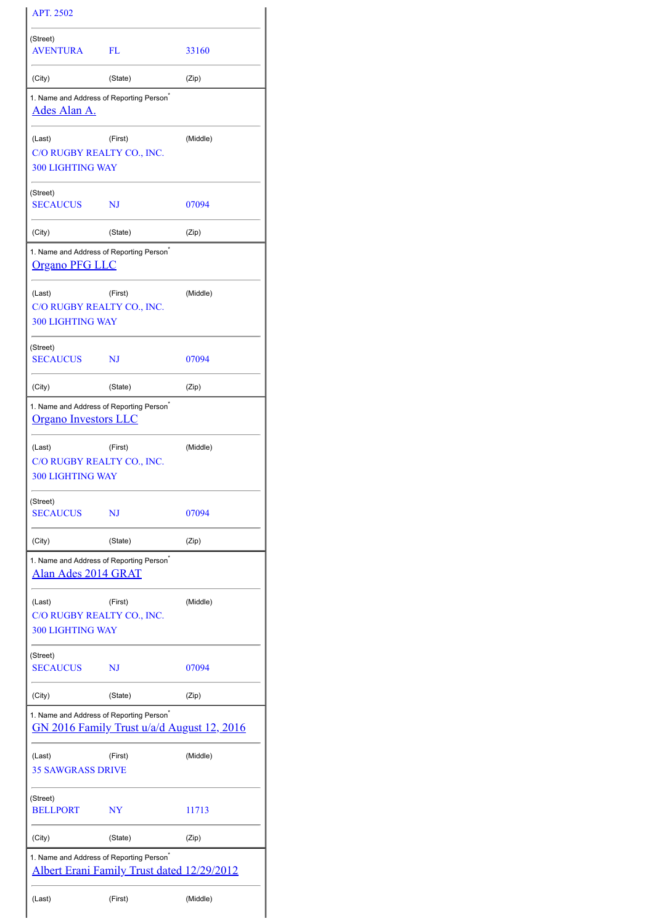| <b>APT. 2502</b>                                                                    |                                                   |          |  |  |
|-------------------------------------------------------------------------------------|---------------------------------------------------|----------|--|--|
| (Street)<br><b>AVENTURA</b>                                                         | FL                                                | 33160    |  |  |
| (City)                                                                              | (State)                                           | (Zip)    |  |  |
| 1. Name and Address of Reporting Person <sup>®</sup><br>Ades Alan A.                |                                                   |          |  |  |
| (Last)<br>C/O RUGBY REALTY CO., INC.<br><b>300 LIGHTING WAY</b>                     | (First)                                           | (Middle) |  |  |
| (Street)<br><b>SECAUCUS</b>                                                         | NJ                                                | 07094    |  |  |
| (City)                                                                              | (State)                                           | (Zip)    |  |  |
| 1. Name and Address of Reporting Person <sup>®</sup><br><u>Organo PFG LLC</u>       |                                                   |          |  |  |
| (Last)<br>C/O RUGBY REALTY CO., INC.<br><b>300 LIGHTING WAY</b>                     | (First)                                           | (Middle) |  |  |
| (Street)<br><b>SECAUCUS</b>                                                         | NJ                                                | 07094    |  |  |
| (City)                                                                              | (State)                                           | (Zip)    |  |  |
| 1. Name and Address of Reporting Person <sup>®</sup><br><b>Organo Investors LLC</b> |                                                   |          |  |  |
| (Last)<br>C/O RUGBY REALTY CO., INC.<br><b>300 LIGHTING WAY</b>                     | (First)                                           | (Middle) |  |  |
| (Street)<br><b>SECAUCUS</b>                                                         | NJ                                                | 07094    |  |  |
| (City)                                                                              | (State)                                           | (Zip)    |  |  |
| 1. Name and Address of Reporting Person <sup>*</sup><br>Alan Ades 2014 GRAT         |                                                   |          |  |  |
| (Last)<br>C/O RUGBY REALTY CO., INC.<br><b>300 LIGHTING WAY</b>                     | (First)                                           | (Middle) |  |  |
| (Street)<br><b>SECAUCUS</b>                                                         | NJ                                                | 07094    |  |  |
| (City)                                                                              | (State)                                           | (Zip)    |  |  |
| 1. Name and Address of Reporting Person <sup>®</sup>                                | GN 2016 Family Trust u/a/d August 12, 2016        |          |  |  |
| (Last)<br><b>35 SAWGRASS DRIVE</b>                                                  | (First)                                           | (Middle) |  |  |
| (Street)<br><b>BELLPORT</b>                                                         | NY                                                | 11713    |  |  |
| (City)                                                                              | (State)                                           | (Zip)    |  |  |
| 1. Name and Address of Reporting Person <sup>®</sup>                                | <b>Albert Erani Family Trust dated 12/29/2012</b> |          |  |  |
| (Last)                                                                              | (Middle)                                          |          |  |  |